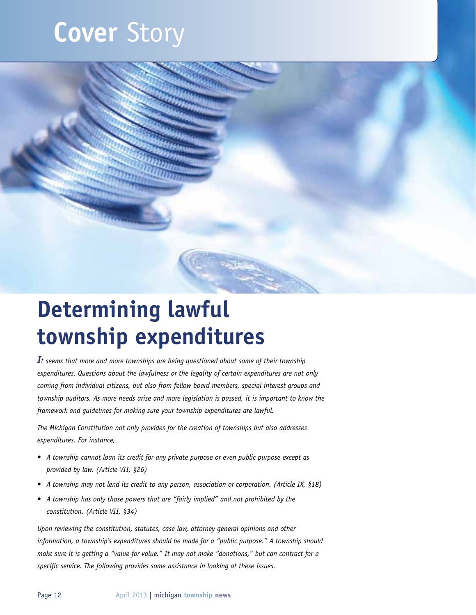# **Cover** Story



# **Determining lawful township expenditures**

*It seems that more and more townships are being questioned about some of their township expenditures. Questions about the lawfulness or the legality of certain expenditures are not only coming from individual citizens, but also from fellow board members, special interest groups and township auditors. As more needs arise and more legislation is passed, it is important to know the framework and guidelines for making sure your township expenditures are lawful.* 

*The Michigan Constitution not only provides for the creation of townships but also addresses expenditures. For instance,* 

- *• A township cannot loan its credit for any private purpose or even public purpose except as provided by law. (Article VII, §26)*
- *• A township may not lend its credit to any person, association or corporation. (Article IX, §18)*
- *• A township has only those powers that are "fairly implied" and not prohibited by the constitution. (Article VII, §34)*

*Upon reviewing the constitution, statutes, case law, attorney general opinions and other information, a township's expenditures should be made for a "public purpose." A township should make sure it is getting a "value-for-value." It may not make "donations," but can contract for a specific service. The following provides some assistance in looking at these issues.*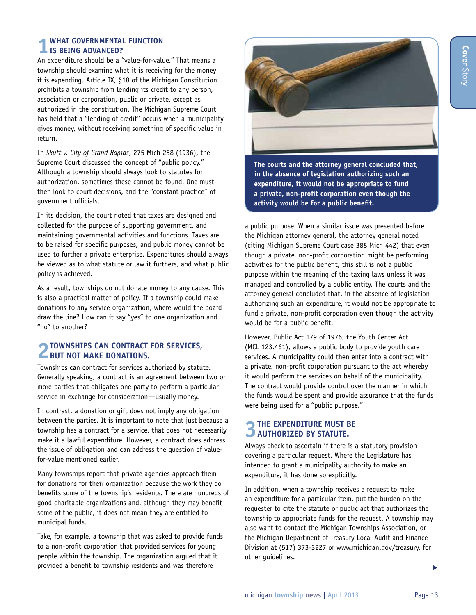### **1 What governmental function is being advanced?**

An expenditure should be a "value-for-value." That means a township should examine what it is receiving for the money it is expending. Article IX, §18 of the Michigan Constitution prohibits a township from lending its credit to any person, association or corporation, public or private, except as authorized in the constitution. The Michigan Supreme Court has held that a "lending of credit" occurs when a municipality gives money, without receiving something of specific value in return.

In *Skutt v. City of Grand Rapids*, 275 Mich 258 (1936), the Supreme Court discussed the concept of "public policy." Although a township should always look to statutes for authorization, sometimes these cannot be found. One must then look to court decisions, and the "constant practice" of government officials.

In its decision, the court noted that taxes are designed and collected for the purpose of supporting government, and maintaining governmental activities and functions. Taxes are to be raised for specific purposes, and public money cannot be used to further a private enterprise. Expenditures should always be viewed as to what statute or law it furthers, and what public policy is achieved.

As a result, townships do not donate money to any cause. This is also a practical matter of policy. If a township could make donations to any service organization, where would the board draw the line? How can it say "yes" to one organization and "no" to another?

### **2Townships can contract for services, but not make donations.**

Townships can contract for services authorized by statute. Generally speaking, a contract is an agreement between two or more parties that obligates one party to perform a particular service in exchange for consideration—usually money.

In contrast, a donation or gift does not imply any obligation between the parties. It is important to note that just because a township has a contract for a service, that does not necessarily make it a lawful expenditure. However, a contract does address the issue of obligation and can address the question of valuefor-value mentioned earlier.

Many townships report that private agencies approach them for donations for their organization because the work they do benefits some of the township's residents. There are hundreds of good charitable organizations and, although they may benefit some of the public, it does not mean they are entitled to municipal funds.

Take, for example, a township that was asked to provide funds to a non-profit corporation that provided services for young people within the township. The organization argued that it provided a benefit to township residents and was therefore



**The courts and the attorney general concluded that, in the absence of legislation authorizing such an expenditure, it would not be appropriate to fund a private, non-profit corporation even though the activity would be for a public benefit.** 

a public purpose. When a similar issue was presented before the Michigan attorney general, the attorney general noted (citing Michigan Supreme Court case 388 Mich 442) that even though a private, non-profit corporation might be performing activities for the public benefit, this still is not a public purpose within the meaning of the taxing laws unless it was managed and controlled by a public entity. The courts and the attorney general concluded that, in the absence of legislation authorizing such an expenditure, it would not be appropriate to fund a private, non-profit corporation even though the activity would be for a public benefit.

However, Public Act 179 of 1976, the Youth Center Act (MCL 123.461), allows a public body to provide youth care services. A municipality could then enter into a contract with a private, non-profit corporation pursuant to the act whereby it would perform the services on behalf of the municipality. The contract would provide control over the manner in which the funds would be spent and provide assurance that the funds were being used for a "public purpose."

# **3The expenditure must be authorized by statute.**

Always check to ascertain if there is a statutory provision covering a particular request. Where the Legislature has intended to grant a municipality authority to make an expenditure, it has done so explicitly.

In addition, when a township receives a request to make an expenditure for a particular item, put the burden on the requester to cite the statute or public act that authorizes the township to appropriate funds for the request. A township may also want to contact the Michigan Townships Association, or the Michigan Department of Treasury Local Audit and Finance Division at (517) 373-3227 or www.michigan.gov/treasury, for other guidelines.

s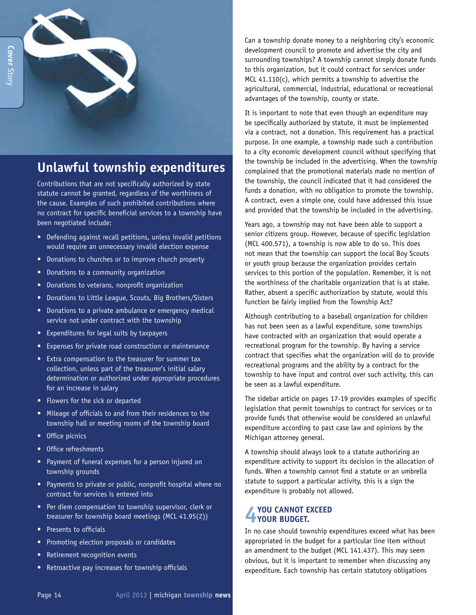

## **Unlawful township expenditures**

Contributions that are not specifically authorized by state statute cannot be granted, regardless of the worthiness of the cause. Examples of such prohibited contributions where no contract for specific beneficial services to a township have been negotiated include:

- Defending against recall petitions, unless invalid petitions would require an unnecessary invalid election expense
- Donations to churches or to improve church property
- Donations to a community organization
- Donations to veterans, nonprofit organization
- Donations to Little League, Scouts, Big Brothers/Sisters
- Donations to a private ambulance or emergency medical service not under contract with the township
- Expenditures for legal suits by taxpayers
- Expenses for private road construction or maintenance
- Extra compensation to the treasurer for summer tax collection, unless part of the treasurer's initial salary determination or authorized under appropriate procedures for an increase in salary
- Flowers for the sick or departed
- Mileage of officials to and from their residences to the township hall or meeting rooms of the township board
- Office picnics
- Office refreshments
- Payment of funeral expenses for a person injured on township grounds
- Payments to private or public, nonprofit hospital where no contract for services is entered into
- Per diem compensation to township supervisor, clerk or treasurer for township board meetings (MCL 41.95(2))
- Presents to officials
- Promoting election proposals or candidates
- Retirement recognition events
- Retroactive pay increases for township officials

Can a township donate money to a neighboring city's economic development council to promote and advertise the city and surrounding townships? A township cannot simply donate funds to this organization, but it could contract for services under MCL 41.110(c), which permits a township to advertise the agricultural, commercial, industrial, educational or recreational advantages of the township, county or state.

It is important to note that even though an expenditure may be specifically authorized by statute, it must be implemented via a contract, not a donation. This requirement has a practical purpose. In one example, a township made such a contribution to a city economic development council without specifying that the township be included in the advertising. When the township complained that the promotional materials made no mention of the township, the council indicated that it had considered the funds a donation, with no obligation to promote the township. A contract, even a simple one, could have addressed this issue and provided that the township be included in the advertising.

Years ago, a township may not have been able to support a senior citizens group. However, because of specific legislation (MCL 400.571), a township is now able to do so. This does not mean that the township can support the local Boy Scouts or youth group because the organization provides certain services to this portion of the population. Remember, it is not the worthiness of the charitable organization that is at stake. Rather, absent a specific authorization by statute, would this function be fairly implied from the Township Act?

Although contributing to a baseball organization for children has not been seen as a lawful expenditure, some townships have contracted with an organization that would operate a recreational program for the township. By having a service contract that specifies what the organization will do to provide recreational programs and the ability by a contract for the township to have input and control over such activity, this can be seen as a lawful expenditure.

The sidebar article on pages 17-19 provides examples of specific legislation that permit townships to contract for services or to provide funds that otherwise would be considered an unlawful expenditure according to past case law and opinions by the Michigan attorney general.

A township should always look to a statute authorizing an expenditure activity to support its decision in the allocation of funds. When a township cannot find a statute or an umbrella statute to support a particular activity, this is a sign the expenditure is probably not allowed.

# **4 You cannot exceed your budget.**

In no case should township expenditures exceed what has been appropriated in the budget for a particular line item without an amendment to the budget (MCL 141.437). This may seem obvious, but it is important to remember when discussing any expenditure. Each township has certain statutory obligations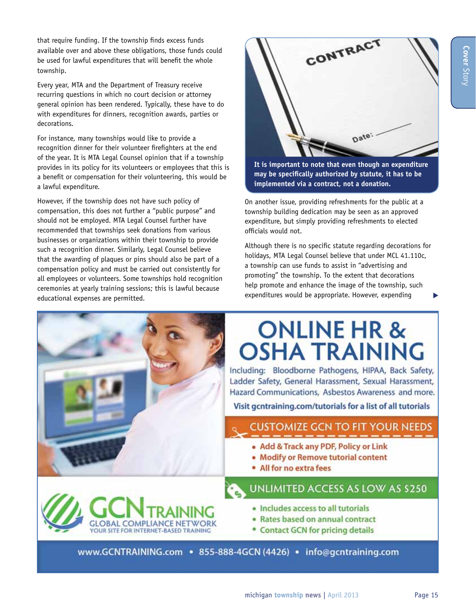that require funding. If the township finds excess funds available over and above these obligations, those funds could be used for lawful expenditures that will benefit the whole township.

Every year, MTA and the Department of Treasury receive recurring questions in which no court decision or attorney general opinion has been rendered. Typically, these have to do with expenditures for dinners, recognition awards, parties or decorations.

For instance, many townships would like to provide a recognition dinner for their volunteer firefighters at the end of the year. It is MTA Legal Counsel opinion that if a township provides in its policy for its volunteers or employees that this is a benefit or compensation for their volunteering, this would be a lawful expenditure.

However, if the township does not have such policy of compensation, this does not further a "public purpose" and should not be employed. MTA Legal Counsel further have recommended that townships seek donations from various businesses or organizations within their township to provide such a recognition dinner. Similarly, Legal Counsel believe that the awarding of plaques or pins should also be part of a compensation policy and must be carried out consistently for all employees or volunteers. Some townships hold recognition ceremonies at yearly training sessions; this is lawful because educational expenses are permitted.



**It is important to note that even though an expenditure may be specifically authorized by statute, it has to be implemented via a contract, not a donation.**

On another issue, providing refreshments for the public at a township building dedication may be seen as an approved expenditure, but simply providing refreshments to elected officials would not.

Although there is no specific statute regarding decorations for holidays, MTA Legal Counsel believe that under MCL 41.110c, a township can use funds to assist in "advertising and promoting" the township. To the extent that decorations help promote and enhance the image of the township, such expenditures would be appropriate. However, expending



# **ONLINE HR & OSHA TRAINING**

Including: Bloodborne Pathogens, HIPAA, Back Safety, Ladder Safety, General Harassment, Sexual Harassment, Hazard Communications, Asbestos Awareness and more.

Visit gentraining.com/tutorials for a list of all tutorials

### **CUSTOMIZE GCN TO FIT YOUR NEEDS**

- . Add & Track any PDF, Policy or Link
- Modify or Remove tutorial content
- All for no extra fees

### UNLIMITED ACCESS AS LOW AS \$250



- · Includes access to all tutorials
- · Rates based on annual contract
- **Contact GCN for pricing details**

www.GCNTRAINING.com • 855-888-4GCN (4426) • info@gcntraining.com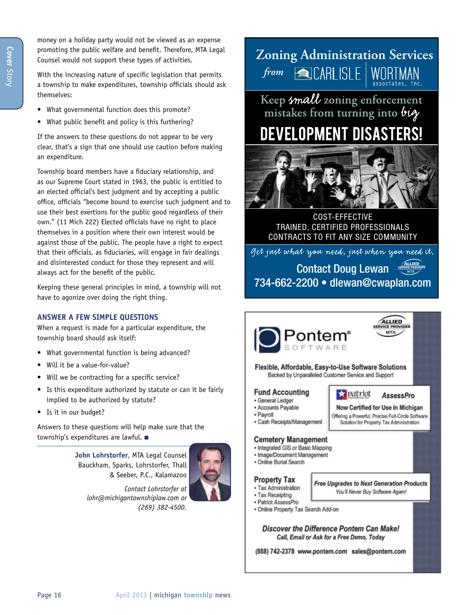money on a holiday party would not be viewed as an expense promoting the public welfare and benefit. Therefore, MTA Legal Counsel would not support these types of activities.

With the increasing nature of specific legislation that permits a township to make expenditures, township officials should ask themselves:

- What governmental function does this promote?
- What public benefit and policy is this furthering?

If the answers to these questions do not appear to be very clear, that's a sign that one should use caution before making an expenditure.

Township board members have a fiduciary relationship, and as our Supreme Court stated in 1963, the public is entitled to an elected official's best judgment and by accepting a public office, officials "become bound to exercise such judgment and to use their best exertions for the public good regardless of their own." (11 Mich 222) Elected officials have no right to place themselves in a position where their own interest would be against those of the public. The people have a right to expect that their officials, as fiduciaries, will engage in fair dealings and disinterested conduct for those they represent and will always act for the benefit of the public.

Keeping these general principles in mind, a township will not have to agonize over doing the right thing.

#### **Answer a few simple questions**

When a request is made for a particular expenditure, the township board should ask itself:

- What governmental function is being advanced?
- Will it be a value-for-value?
- Will we be contracting for a specific service?
- Is this expenditure authorized by statute or can it be fairly implied to be authorized by statute?
- Is it in our budget?

Answers to these questions will help make sure that the township's expenditures are lawful.  $\blacksquare$ 

> **John Lohrstorfer**, MTA Legal Counsel Bauckham, Sparks, Lohrstorfer, Thall & Seeber, P.C., Kalamazoo



*Contact Lohrstorfer at lohr@michigantownshiplaw.com or (269) 382-4500.*

**Zoning Administration Services** *from* **ACARLISLE** associates, inc.

Keep small zoning enforcement mistakes from turning into big

## **DEVELOPMENT DISASTERS!**



COST-EFFECTIVE TRAINED, CERTIFIED PROFESSIONALS CONTRACTS TO FIT ANY SIZE COMMUNITY

*Get just what you need, just when you need it.*

Contact Doug Lewan 734-662-2200 • dlewan@cwaplan.com





Now Certified for Use in Michigan

Offering a Powerful, Precise Full-Circle Software

Solution for Property Tax Administration

patriot

ALLIED

**AssessPro** 

Flexible, Affordable, Easy-to-Use Software Solutions Backed by Unparalleled Customer Service and Support

#### **Fund Accounting**

- · General Ledger
- Accounts Payable
- Payroll
- · Cash Receipts/Management

#### **Cemetery Management**

- · Integrated GIS or Basic Mapping
- · Image/Document Management
- · Online Burial Search

#### **Property Tax** · Tax Administration

- Free Upgrades to Next Generation Products
	- You'll Never Buy Software Again!
- Tax Receipting - Patriot AssessPro
- · Online Property Tax Search Add-on

Discover the Difference Pontem Can Make! Call, Email or Ask for a Free Demo, Today

(888) 742-2378 www.pontem.com sales@pontem.com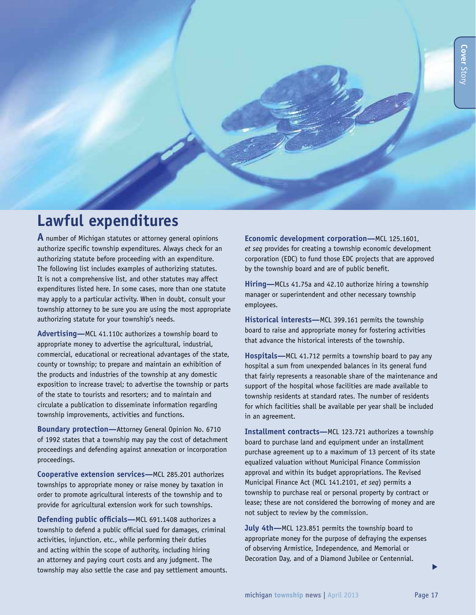## **Lawful expenditures**

**A** number of Michigan statutes or attorney general opinions authorize specific township expenditures. Always check for an authorizing statute before proceeding with an expenditure. The following list includes examples of authorizing statutes. It is not a comprehensive list, and other statutes may affect expenditures listed here. In some cases, more than one statute may apply to a particular activity. When in doubt, consult your township attorney to be sure you are using the most appropriate authorizing statute for your township's needs.

**Advertising—**MCL 41.110c authorizes a township board to appropriate money to advertise the agricultural, industrial, commercial, educational or recreational advantages of the state, county or township; to prepare and maintain an exhibition of the products and industries of the township at any domestic exposition to increase travel; to advertise the township or parts of the state to tourists and resorters; and to maintain and circulate a publication to disseminate information regarding township improvements, activities and functions.

**Boundary protection—**Attorney General Opinion No. 6710 of 1992 states that a township may pay the cost of detachment proceedings and defending against annexation or incorporation proceedings.

**Cooperative extension services—**MCL 285.201 authorizes townships to appropriate money or raise money by taxation in order to promote agricultural interests of the township and to provide for agricultural extension work for such townships.

**Defending public officials—**MCL 691.1408 authorizes a township to defend a public official sued for damages, criminal activities, injunction, etc., while performing their duties and acting within the scope of authority, including hiring an attorney and paying court costs and any judgment. The township may also settle the case and pay settlement amounts.

**Economic development corporation—**MCL 125.1601, *et seq* provides for creating a township economic development corporation (EDC) to fund those EDC projects that are approved by the township board and are of public benefit.

**Hiring—**MCLs 41.75a and 42.10 authorize hiring a township manager or superintendent and other necessary township employees.

**Historical interests—**MCL 399.161 permits the township board to raise and appropriate money for fostering activities that advance the historical interests of the township.

**Hospitals—**MCL 41.712 permits a township board to pay any hospital a sum from unexpended balances in its general fund that fairly represents a reasonable share of the maintenance and support of the hospital whose facilities are made available to township residents at standard rates. The number of residents for which facilities shall be available per year shall be included in an agreement.

**Installment contracts—**MCL 123.721 authorizes a township board to purchase land and equipment under an installment purchase agreement up to a maximum of 13 percent of its state equalized valuation without Municipal Finance Commission approval and within its budget appropriations. The Revised Municipal Finance Act (MCL 141.2101, *et seq*) permits a township to purchase real or personal property by contract or lease; these are not considered the borrowing of money and are not subject to review by the commission.

**July 4th—**MCL 123.851 permits the township board to appropriate money for the purpose of defraying the expenses of observing Armistice, Independence, and Memorial or Decoration Day, and of a Diamond Jubilee or Centennial.

s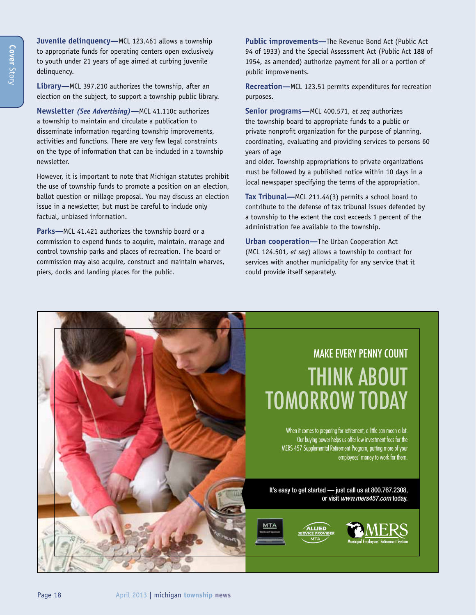**Juvenile delinquency—**MCL 123.461 allows a township to appropriate funds for operating centers open exclusively to youth under 21 years of age aimed at curbing juvenile delinquency.

**Library—**MCL 397.210 authorizes the township, after an election on the subject, to support a township public library.

**Newsletter** *(See Advertising)***—**MCL 41.110c authorizes a township to maintain and circulate a publication to disseminate information regarding township improvements, activities and functions. There are very few legal constraints on the type of information that can be included in a township newsletter.

However, it is important to note that Michigan statutes prohibit the use of township funds to promote a position on an election, ballot question or millage proposal. You may discuss an election issue in a newsletter, but must be careful to include only factual, unbiased information.

**Parks—**MCL 41.421 authorizes the township board or a commission to expend funds to acquire, maintain, manage and control township parks and places of recreation. The board or commission may also acquire, construct and maintain wharves, piers, docks and landing places for the public.

**Public improvements—**The Revenue Bond Act (Public Act 94 of 1933) and the Special Assessment Act (Public Act 188 of 1954, as amended) authorize payment for all or a portion of public improvements.

**Recreation—**MCL 123.51 permits expenditures for recreation purposes.

**Senior programs—**MCL 400.571, *et seq* authorizes the township board to appropriate funds to a public or private nonprofit organization for the purpose of planning, coordinating, evaluating and providing services to persons 60 years of age

and older. Township appropriations to private organizations must be followed by a published notice within 10 days in a local newspaper specifying the terms of the appropriation.

**Tax Tribunal—**MCL 211.44(3) permits a school board to contribute to the defense of tax tribunal issues defended by a township to the extent the cost exceeds 1 percent of the administration fee available to the township.

**Urban cooperation—**The Urban Cooperation Act (MCL 124.501, *et seq*) allows a township to contract for services with another municipality for any service that it could provide itself separately.